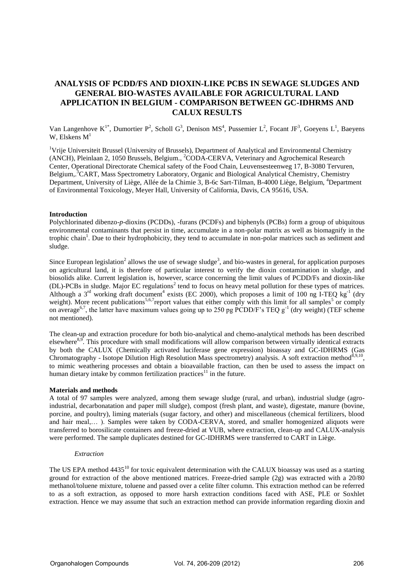# **ANALYSIS OF PCDD/FS AND DIOXIN-LIKE PCBS IN SEWAGE SLUDGES AND GENERAL BIO-WASTES AVAILABLE FOR AGRICULTURAL LAND APPLICATION IN BELGIUM - COMPARISON BETWEEN GC-IDHRMS AND CALUX RESULTS**

Van Langenhove  $K^{1*}$ , Dumortier P<sup>2</sup>, Scholl G<sup>3</sup>, Denison MS<sup>4</sup>, Pussemier L<sup>2</sup>, Focant JF<sup>3</sup>, Goeyens L<sup>1</sup>, Baeyens W, Elskens  $M<sup>1</sup>$ 

<sup>1</sup>Vrije Universiteit Brussel (University of Brussels), Department of Analytical and Environmental Chemistry (ANCH), Pleinlaan 2, 1050 Brussels, Belgium., <sup>2</sup>CODA-CERVA, Veterinary and Agrochemical Research Center, Operational Directorate Chemical safety of the Food Chain, Leuvensesteenweg 17, B-3080 Tervuren, Belgium,.<sup>3</sup>CART, Mass Spectrometry Laboratory, Organic and Biological Analytical Chemistry, Chemistry Department, University of Liège, Allée de la Chimie 3, B-6c Sart-Tilman, B-4000 Liège, Belgium, <sup>4</sup>Department of Environmental Toxicology, Meyer Hall, University of California, Davis, CA 95616, USA.

## **Introduction**

Polychlorinated dibenzo-*p*-dioxins (PCDDs), -furans (PCDFs) and biphenyls (PCBs) form a group of ubiquitous environmental contaminants that persist in time, accumulate in a non-polar matrix as well as biomagnify in the trophic chain<sup>1</sup>. Due to their hydrophobicity, they tend to accumulate in non-polar matrices such as sediment and sludge.

Since European legislation<sup>2</sup> allows the use of sewage sludge<sup>3</sup>, and bio-wastes in general, for application purposes on agricultural land, it is therefore of particular interest to verify the dioxin contamination in sludge, and biosolids alike. Current legislation is, however, scarce concerning the limit values of PCDD/Fs and dioxin-like (DL)-PCBs in sludge. Major EC regulations<sup>2</sup> tend to focus on heavy metal pollution for these types of matrices. Although a 3<sup>rd</sup> working draft document<sup>4</sup> exists (EC 2000), which proposes a limit of 100 ng I-TEQ kg<sup>-1</sup> (dry weight). More recent publications<sup>5,6,7</sup>report values that either comply with this limit for all samples<sup>5</sup> or comply on average<sup>6,7</sup>, the latter have maximum values going up to 250 pg PCDD/F's TEQ  $g^{-1}$  (dry weight) (TEF scheme not mentioned).

The clean-up and extraction procedure for both bio-analytical and chemo-analytical methods has been described elsewhere<sup>8,9</sup>. This procedure with small modifications will allow comparison between virtually identical extracts by both the CALUX (Chemically activated luciferase gene expression) bioassay and GC-IDHRMS (Gas Chromatography - Isotope Dilution High Resolution Mass spectrometry) analysis. A soft extraction method<sup>8,9,10</sup>, to mimic weathering processes and obtain a bioavailable fraction, can then be used to assess the impact on human dietary intake by common fertilization practices $11$  in the future.

### **Materials and methods**

A total of 97 samples were analyzed, among them sewage sludge (rural, and urban), industrial sludge (agroindustrial, decarbonatation and paper mill sludge), compost (fresh plant, and waste), digestate, manure (bovine, porcine, and poultry), liming materials (sugar factory, and other) and miscellaneous (chemical fertilizers, blood and hair meal,… ). Samples were taken by CODA-CERVA, stored, and smaller homogenized aliquots were transferred to borosilicate containers and freeze-dried at VUB, where extraction, clean-up and CALUX-analysis were performed. The sample duplicates destined for GC-IDHRMS were transferred to CART in Liège.

### *Extraction*

The US EPA method 4435<sup>10</sup> for toxic equivalent determination with the CALUX bioassay was used as a starting ground for extraction of the above mentioned matrices. Freeze-dried sample (2g) was extracted with a 20/80 methanol/toluene mixture, toluene and passed over a celite filter column. This extraction method can be referred to as a soft extraction, as opposed to more harsh extraction conditions faced with ASE, PLE or Soxhlet extraction. Hence we may assume that such an extraction method can provide information regarding dioxin and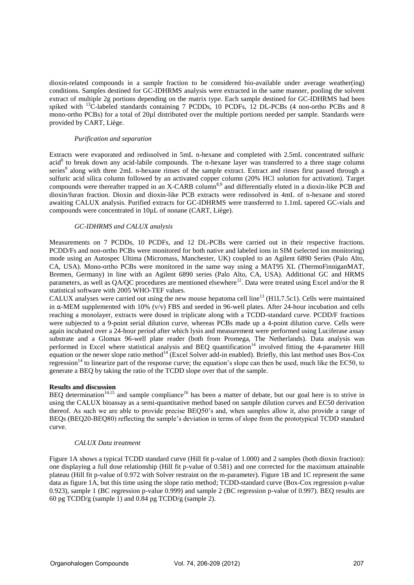dioxin-related compounds in a sample fraction to be considered bio-available under average weather(ing) conditions. Samples destined for GC-IDHRMS analysis were extracted in the same manner, pooling the solvent extract of multiple 2g portions depending on the matrix type. Each sample destined for GC-IDHRMS had been spiked with <sup>13</sup>C-labeled standards containing 7 PCDDs, 10 PCDFs, 12 DL-PCBs (4 non-ortho PCBs and 8 mono-ortho PCBs) for a total of 20µl distributed over the multiple portions needed per sample. Standards were provided by CART, Liège.

## *Purification and separation*

Extracts were evaporated and redissolved in 5mL n-hexane and completed with 2.5mL concentrated sulfuric acid<sup>8</sup> to break down any acid-labile compounds. The n-hexane layer was transferred to a three stage column series<sup>8</sup> along with three 2mL n-hexane rinses of the sample extract. Extract and rinses first passed through a sulfuric acid silica column followed by an activated copper column (20% HCl solution for activation). Target compounds were thereafter trapped in an X-CARB column<sup>8,9</sup> and differentially eluted in a dioxin-like PCB and dioxin/furan fraction. Dioxin and dioxin-like PCB extracts were redissolved in 4mL of n-hexane and stored awaiting CALUX analysis. Purified extracts for GC-IDHRMS were transferred to 1.1mL tapered GC-vials and compounds were concentrated in 10µL of nonane (CART, Liège).

## *GC-IDHRMS and CALUX analysis*

Measurements on 7 PCDDs, 10 PCDFs, and 12 DL-PCBs were carried out in their respective fractions. PCDD/Fs and non-ortho PCBs were monitored for both native and labeled ions in SIM (selected ion monitoring) mode using an Autospec Ultima (Micromass, Manchester, UK) coupled to an Agilent 6890 Series (Palo Alto, CA, USA). Mono-ortho PCBs were monitored in the same way using a MAT95 XL (ThermoFinniganMAT, Bremen, Germany) in line with an Agilent 6890 series (Palo Alto, CA, USA). Additional GC and HRMS parameters, as well as  $QA/QC$  procedures are mentioned elsewhere<sup>12</sup>. Data were treated using Excel and/or the R statistical software with 2005 WHO-TEF values.

CALUX analyses were carried out using the new mouse hepatoma cell line<sup>13</sup> (H1L7.5c1). Cells were maintained in  $\alpha$ -MEM supplemented with 10% (v/v) FBS and seeded in 96-well plates. After 24-hour incubation and cells reaching a monolayer, extracts were dosed in triplicate along with a TCDD-standard curve. PCDD/F fractions were subjected to a 9-point serial dilution curve, whereas PCBs made up a 4-point dilution curve. Cells were again incubated over a 24-hour period after which lysis and measurement were performed using Luciferase assay substrate and a Glomax 96-well plate reader (both from Promega, The Netherlands). Data analysis was performed in Excel where statistical analysis and BEQ quantification<sup>14</sup> involved fitting the 4-parameter Hill equation or the newer slope ratio method<sup>14</sup> (Excel Solver add-in enabled). Briefly, this last method uses Box-Cox regression<sup>14</sup> to linearize part of the response curve; the equation's slope can then be used, much like the EC50, to generate a BEQ by taking the ratio of the TCDD slope over that of the sample.

# **Results and discussion**

BEQ determination<sup>14,15</sup> and sample compliance<sup>16</sup> has been a matter of debate, but our goal here is to strive in using the CALUX bioassay as a semi-quantitative method based on sample dilution curves and EC50 derivation thereof. As such we are able to provide precise BEQ50's and, when samples allow it, also provide a range of BEQs (BEQ20-BEQ80) reflecting the sample's deviation in terms of slope from the prototypical TCDD standard curve.

## *CALUX Data treatment*

Figure 1A shows a typical TCDD standard curve (Hill fit p-value of 1.000) and 2 samples (both dioxin fraction): one displaying a full dose relationship (Hill fit p-value of 0.581) and one corrected for the maximum attainable plateau (Hill fit p-value of 0.972 with Solver restraint on the m-parameter). Figure 1B and 1C represent the same data as figure 1A, but this time using the slope ratio method; TCDD-standard curve (Box-Cox regression p-value 0.923), sample 1 (BC regression p-value 0.999) and sample 2 (BC regression p-value of 0.997). BEQ results are 60 pg TCDD/g (sample 1) and 0.84 pg TCDD/g (sample 2).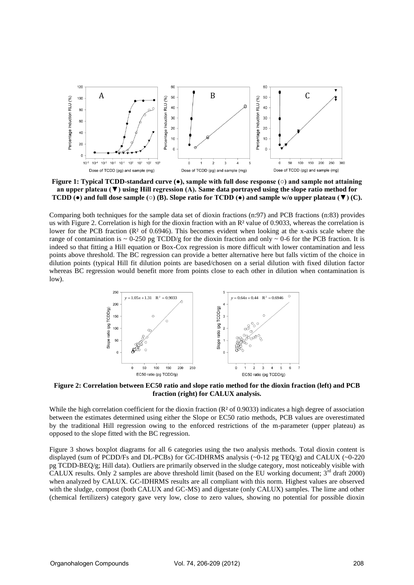

**Figure 1: Typical TCDD-standard curve (●), sample with full dose response (○) and sample not attaining an upper plateau (▼) using Hill regression (A). Same data portrayed using the slope ratio method for TCDD (●) and full dose sample (○) (B). Slope ratio for TCDD (●) and sample w/o upper plateau (▼) (C).** 

Comparing both techniques for the sample data set of dioxin fractions (n:97) and PCB fractions (n:83) provides us with Figure 2. Correlation is high for the dioxin fraction with an R² value of 0.9033, whereas the correlation is lower for the PCB fraction (R<sup>2</sup> of 0.6946). This becomes evident when looking at the x-axis scale where the range of contamination is  $\sim 0.250$  pg TCDD/g for the dioxin fraction and only  $\sim 0.6$  for the PCB fraction. It is indeed so that fitting a Hill equation or Box-Cox regression is more difficult with lower contamination and less points above threshold. The BC regression can provide a better alternative here but falls victim of the choice in dilution points (typical Hill fit dilution points are based/chosen on a serial dilution with fixed dilution factor whereas BC regression would benefit more from points close to each other in dilution when contamination is low).



**Figure 2: Correlation between EC50 ratio and slope ratio method for the dioxin fraction (left) and PCB fraction (right) for CALUX analysis.** 

While the high correlation coefficient for the dioxin fraction  $(R<sup>2</sup>$  of 0.9033) indicates a high degree of association between the estimates determined using either the Slope or EC50 ratio methods, PCB values are overestimated by the traditional Hill regression owing to the enforced restrictions of the m-parameter (upper plateau) as opposed to the slope fitted with the BC regression.

Figure 3 shows boxplot diagrams for all 6 categories using the two analysis methods. Total dioxin content is displayed (sum of PCDD/Fs and DL-PCBs) for GC-IDHRMS analysis (~0-12 pg TEQ/g) and CALUX (~0-220 pg TCDD-BEQ/g; Hill data). Outliers are primarily observed in the sludge category, most noticeably visible with CALUX results. Only 2 samples are above threshold limit (based on the EU working document; 3<sup>rd</sup> draft 2000) when analyzed by CALUX. GC-IDHRMS results are all compliant with this norm. Highest values are observed with the sludge, compost (both CALUX and GC-MS) and digestate (only CALUX) samples. The lime and other (chemical fertilizers) category gave very low, close to zero values, showing no potential for possible dioxin